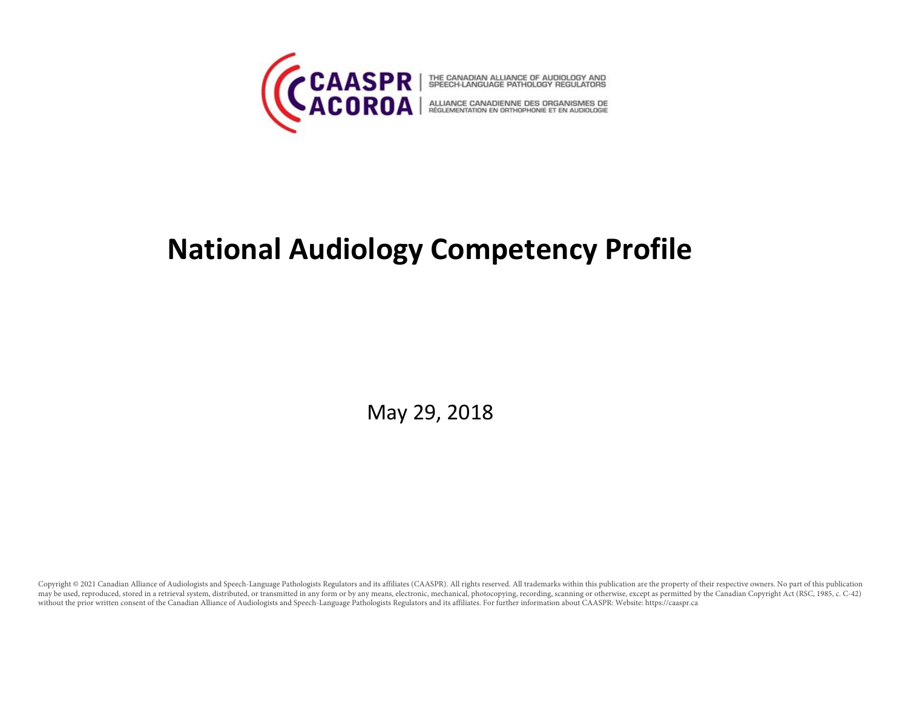

# **National Audiology Competency Profile**

May 29, 2018

Copyright @ 2021 Canadian Alliance of Audiologists and Speech-Language Pathologists Regulators and its affiliates (CAASPR). All rights reserved. All trademarks within this publication are the property of their respective o may be used, reproduced, stored in a retrieval system, distributed, or transmitted in any form or by any means, electronic, mechanical, photocopying, recording, scanning or otherwise, except as permitted by the Canadian Co without the prior written consent of the Canadian Alliance of Audiologists and Speech-Language Pathologists Regulators and its affiliates. For further information about CAASPR: Website: https://caaspr.ca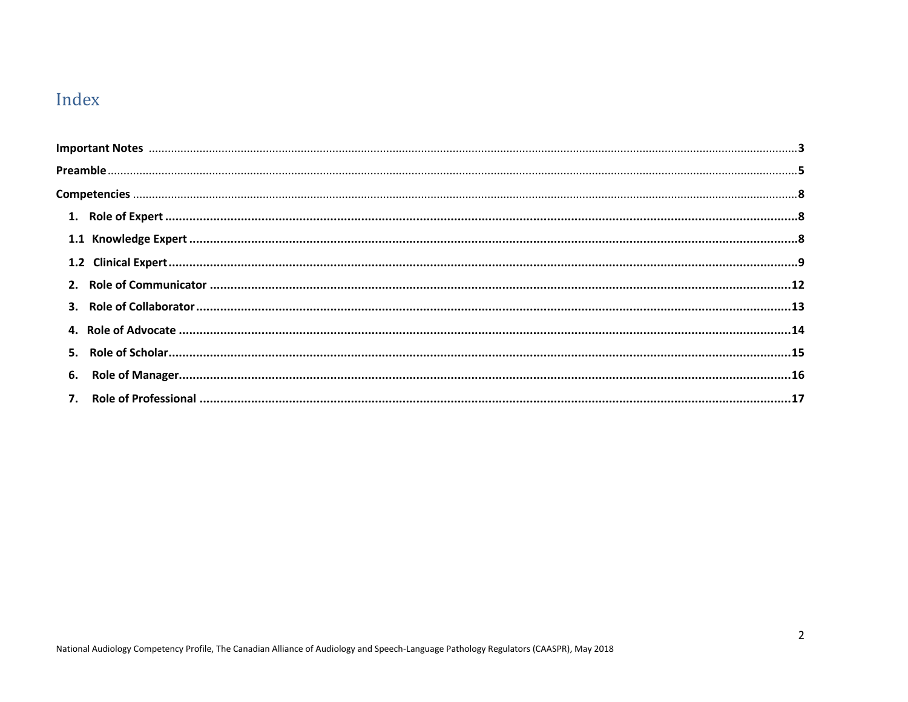# Index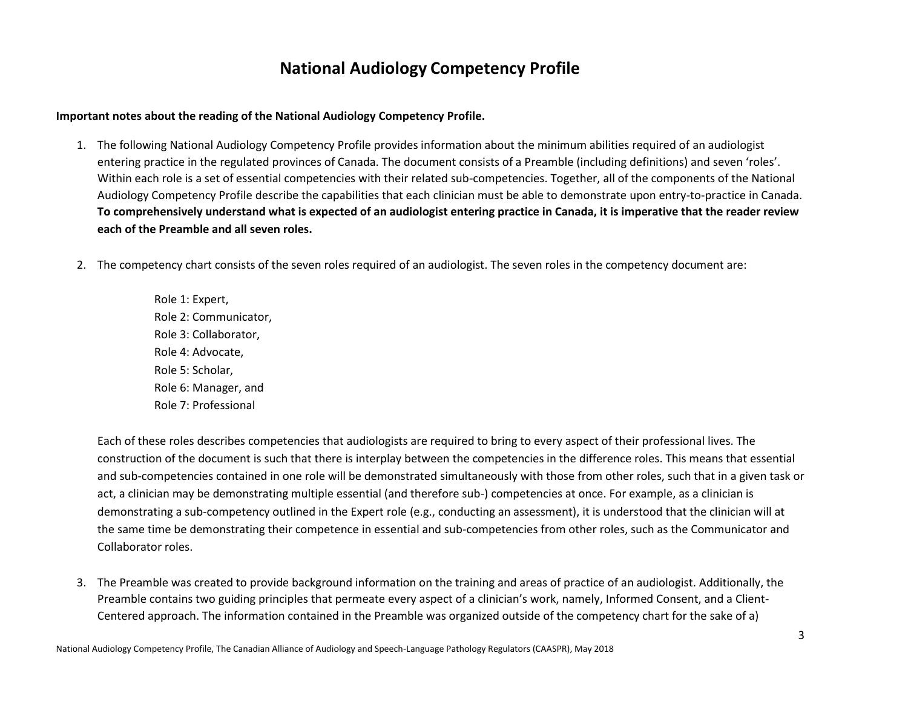# **National Audiology Competency Profile**

#### **Important notes about the reading of the National Audiology Competency Profile.**

- 1. The following National Audiology Competency Profile provides information about the minimum abilities required of an audiologist entering practice in the regulated provinces of Canada. The document consists of a Preamble (including definitions) and seven 'roles'. Within each role is a set of essential competencies with their related sub-competencies. Together, all of the components of the National Audiology Competency Profile describe the capabilities that each clinician must be able to demonstrate upon entry-to-practice in Canada. **To comprehensively understand what is expected of an audiologist entering practice in Canada, it is imperative that the reader review each of the Preamble and all seven roles.**
- 2. The competency chart consists of the seven roles required of an audiologist. The seven roles in the competency document are:

Role 1: Expert, Role 2: Communicator, Role 3: Collaborator, Role 4: Advocate, Role 5: Scholar, Role 6: Manager, and Role 7: Professional

Each of these roles describes competencies that audiologists are required to bring to every aspect of their professional lives. The construction of the document is such that there is interplay between the competencies in the difference roles. This means that essential and sub-competencies contained in one role will be demonstrated simultaneously with those from other roles, such that in a given task or act, a clinician may be demonstrating multiple essential (and therefore sub-) competencies at once. For example, as a clinician is demonstrating a sub-competency outlined in the Expert role (e.g., conducting an assessment), it is understood that the clinician will at the same time be demonstrating their competence in essential and sub-competencies from other roles, such as the Communicator and Collaborator roles.

3. The Preamble was created to provide background information on the training and areas of practice of an audiologist. Additionally, the Preamble contains two guiding principles that permeate every aspect of a clinician's work, namely, Informed Consent, and a Client-Centered approach. The information contained in the Preamble was organized outside of the competency chart for the sake of a)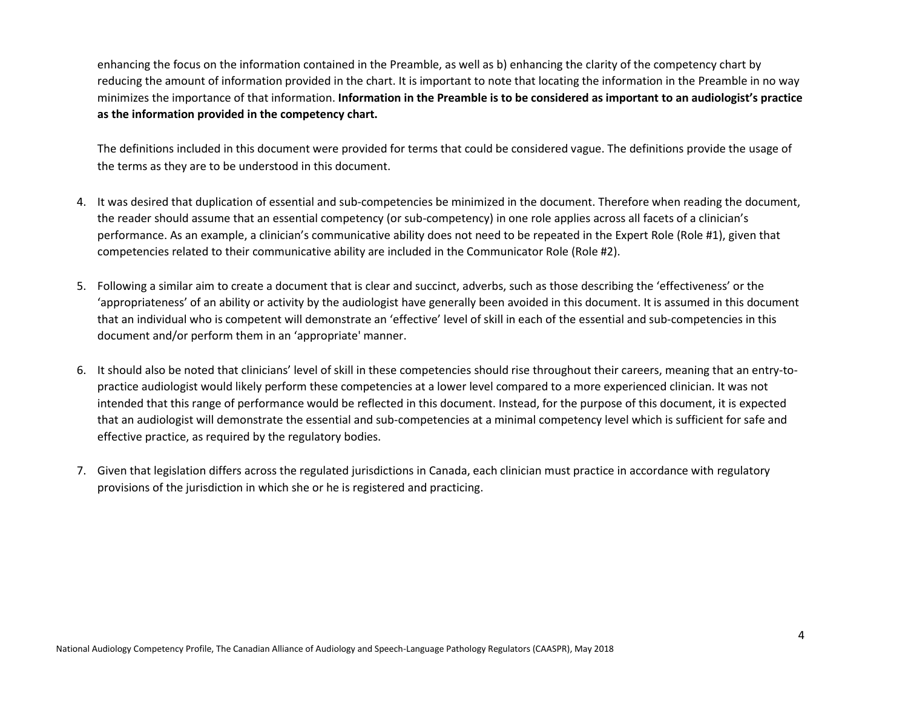enhancing the focus on the information contained in the Preamble, as well as b) enhancing the clarity of the competency chart by reducing the amount of information provided in the chart. It is important to note that locating the information in the Preamble in no way minimizes the importance of that information. **Information in the Preamble is to be considered as important to an audiologist's practice as the information provided in the competency chart.**

The definitions included in this document were provided for terms that could be considered vague. The definitions provide the usage of the terms as they are to be understood in this document.

- 4. It was desired that duplication of essential and sub-competencies be minimized in the document. Therefore when reading the document, the reader should assume that an essential competency (or sub-competency) in one role applies across all facets of a clinician's performance. As an example, a clinician's communicative ability does not need to be repeated in the Expert Role (Role #1), given that competencies related to their communicative ability are included in the Communicator Role (Role #2).
- 5. Following a similar aim to create a document that is clear and succinct, adverbs, such as those describing the 'effectiveness' or the 'appropriateness' of an ability or activity by the audiologist have generally been avoided in this document. It is assumed in this document that an individual who is competent will demonstrate an 'effective' level of skill in each of the essential and sub-competencies in this document and/or perform them in an 'appropriate' manner.
- 6. It should also be noted that clinicians' level of skill in these competencies should rise throughout their careers, meaning that an entry-topractice audiologist would likely perform these competencies at a lower level compared to a more experienced clinician. It was not intended that this range of performance would be reflected in this document. Instead, for the purpose of this document, it is expected that an audiologist will demonstrate the essential and sub-competencies at a minimal competency level which is sufficient for safe and effective practice, as required by the regulatory bodies.
- 7. Given that legislation differs across the regulated jurisdictions in Canada, each clinician must practice in accordance with regulatory provisions of the jurisdiction in which she or he is registered and practicing.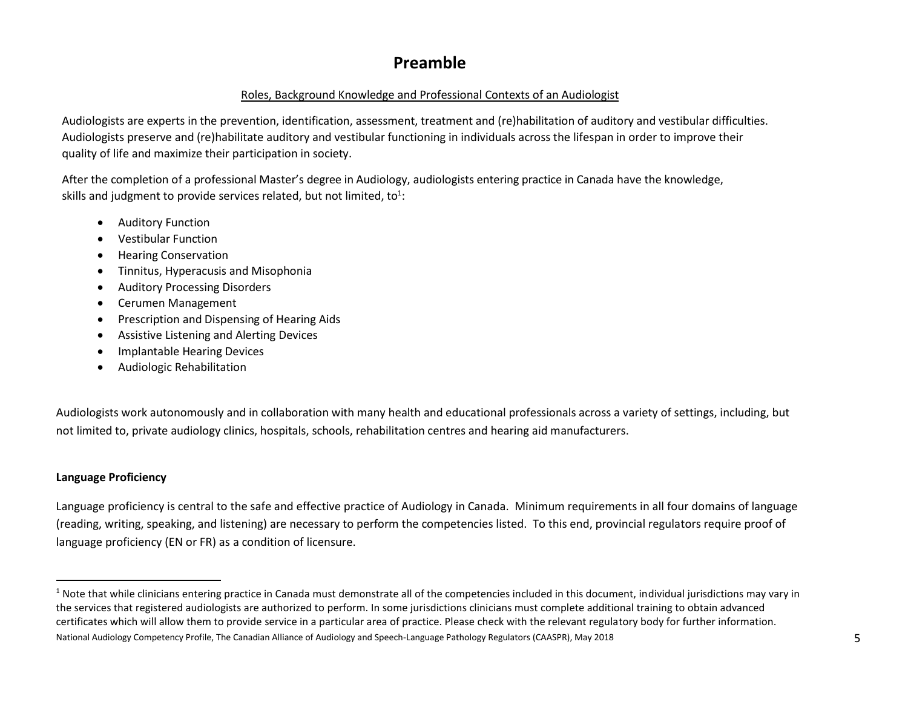# **Preamble**

#### Roles, Background Knowledge and Professional Contexts of an Audiologist

Audiologists are experts in the prevention, identification, assessment, treatment and (re)habilitation of auditory and vestibular difficulties. Audiologists preserve and (re)habilitate auditory and vestibular functioning in individuals across the lifespan in order to improve their quality of life and maximize their participation in society.

After the completion of a professional Master's degree in Audiology, audiologists entering practice in Canada have the knowledge, skills and judgment to provide services related, but not limited, to<sup>1</sup>:

- Auditory Function
- Vestibular Function
- Hearing Conservation
- Tinnitus, Hyperacusis and Misophonia
- Auditory Processing Disorders
- Cerumen Management
- Prescription and Dispensing of Hearing Aids
- Assistive Listening and Alerting Devices
- Implantable Hearing Devices
- Audiologic Rehabilitation

Audiologists work autonomously and in collaboration with many health and educational professionals across a variety of settings, including, but not limited to, private audiology clinics, hospitals, schools, rehabilitation centres and hearing aid manufacturers.

#### **Language Proficiency**

 $\overline{a}$ 

Language proficiency is central to the safe and effective practice of Audiology in Canada. Minimum requirements in all four domains of language (reading, writing, speaking, and listening) are necessary to perform the competencies listed. To this end, provincial regulators require proof of language proficiency (EN or FR) as a condition of licensure.

National Audiology Competency Profile, The Canadian Alliance of Audiology and Speech-Language Pathology Regulators (CAASPR), May 2018  $1$  Note that while clinicians entering practice in Canada must demonstrate all of the competencies included in this document, individual jurisdictions may vary in the services that registered audiologists are authorized to perform. In some jurisdictions clinicians must complete additional training to obtain advanced certificates which will allow them to provide service in a particular area of practice. Please check with the relevant regulatory body for further information.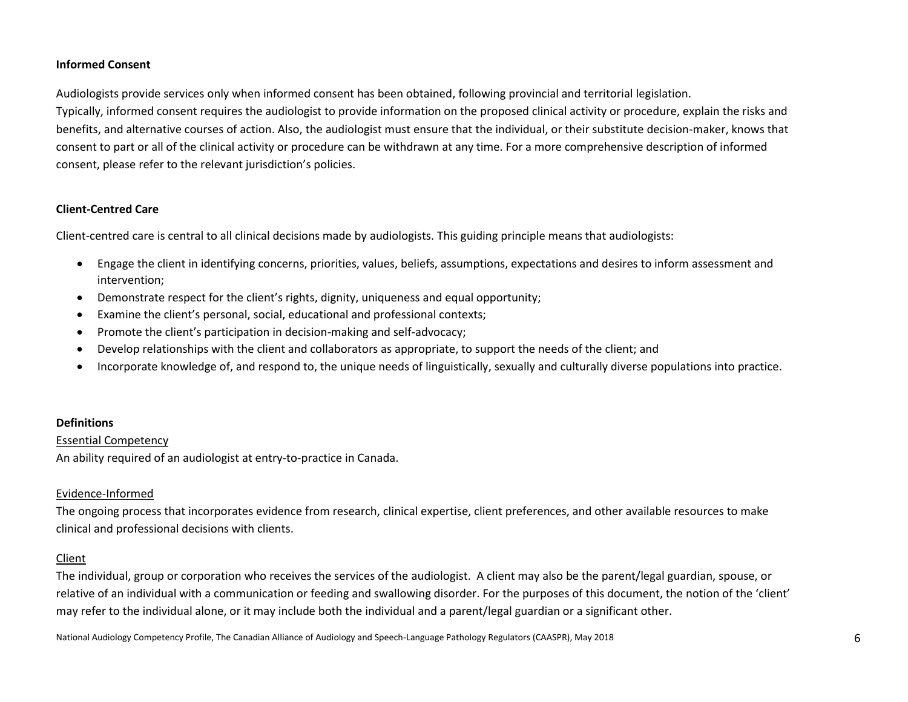#### **Informed Consent**

Audiologists provide services only when informed consent has been obtained, following provincial and territorial legislation. Typically, informed consent requires the audiologist to provide information on the proposed clinical activity or procedure, explain the risks and benefits, and alternative courses of action. Also, the audiologist must ensure that the individual, or their substitute decision-maker, knows that consent to part or all of the clinical activity or procedure can be withdrawn at any time. For a more comprehensive description of informed consent, please refer to the relevant jurisdiction's policies.

#### **Client-Centred Care**

Client-centred care is central to all clinical decisions made by audiologists. This guiding principle means that audiologists:

- Engage the client in identifying concerns, priorities, values, beliefs, assumptions, expectations and desires to inform assessment and intervention;
- Demonstrate respect for the client's rights, dignity, uniqueness and equal opportunity;
- Examine the client's personal, social, educational and professional contexts;
- Promote the client's participation in decision-making and self-advocacy;
- Develop relationships with the client and collaborators as appropriate, to support the needs of the client; and
- Incorporate knowledge of, and respond to, the unique needs of linguistically, sexually and culturally diverse populations into practice.

#### **Definitions**

#### Essential Competency

An ability required of an audiologist at entry-to-practice in Canada.

#### Evidence-Informed

The ongoing process that incorporates evidence from research, clinical expertise, client preferences, and other available resources to make clinical and professional decisions with clients.

#### Client

The individual, group or corporation who receives the services of the audiologist. A client may also be the parent/legal guardian, spouse, or relative of an individual with a communication or feeding and swallowing disorder. For the purposes of this document, the notion of the 'client' may refer to the individual alone, or it may include both the individual and a parent/legal guardian or a significant other.

National Audiology Competency Profile, The Canadian Alliance of Audiology and Speech-Language Pathology Regulators (CAASPR), May 2018 6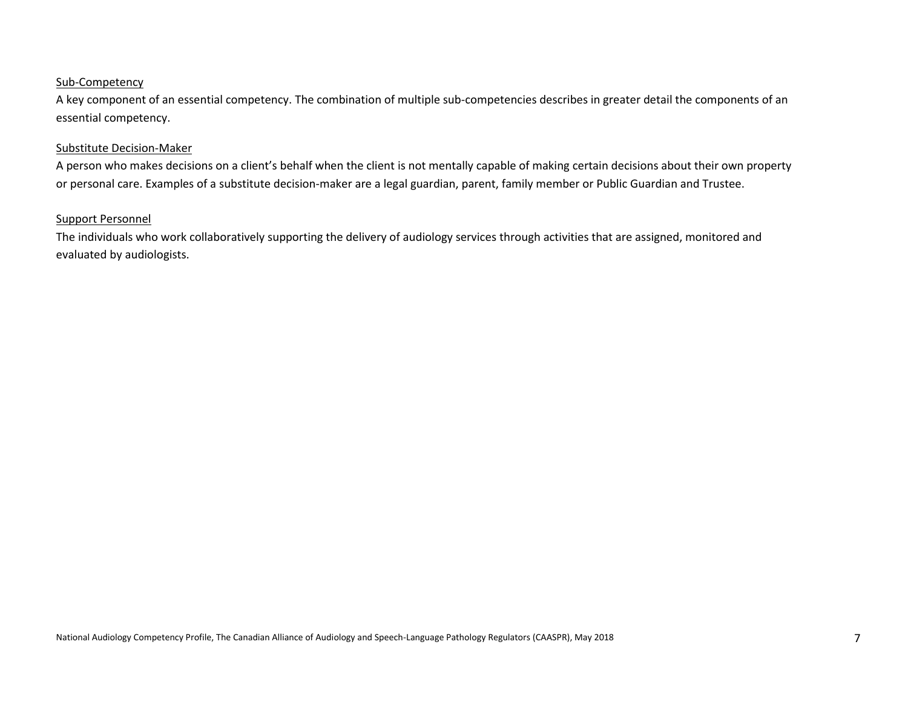#### Sub-Competency

A key component of an essential competency. The combination of multiple sub-competencies describes in greater detail the components of an essential competency.

#### Substitute Decision-Maker

A person who makes decisions on a client's behalf when the client is not mentally capable of making certain decisions about their own property or personal care. Examples of a substitute decision-maker are a legal guardian, parent, family member or Public Guardian and Trustee.

#### Support Personnel

The individuals who work collaboratively supporting the delivery of audiology services through activities that are assigned, monitored and evaluated by audiologists.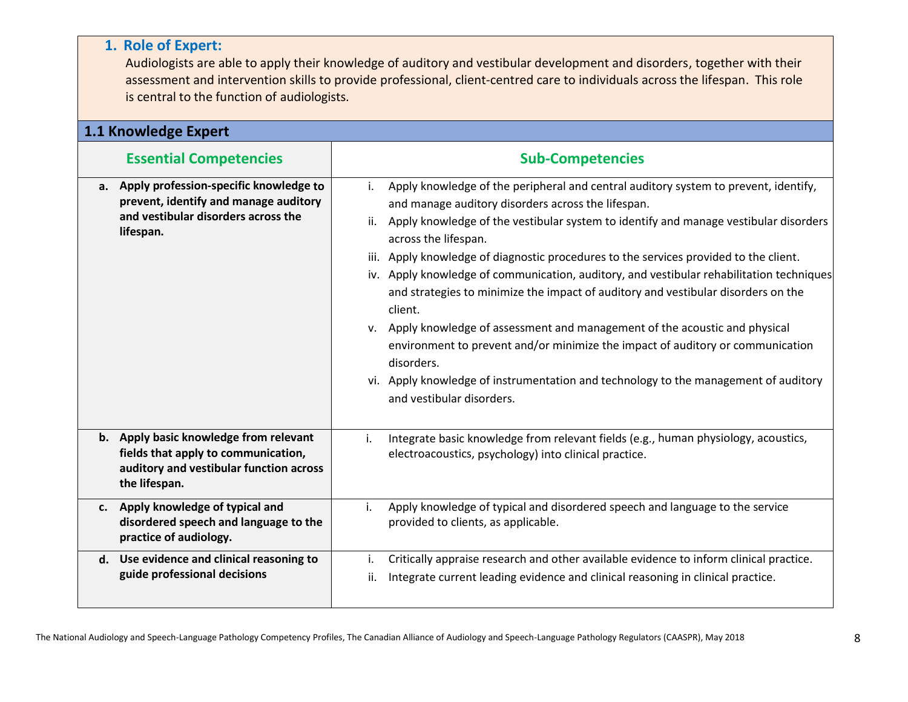#### Audiologists are able to apply their knowledge of auditory and vestibular development and disorders, together with their assessment and intervention skills to provide professional, client-centred care to individuals across the lifespan. This role is central to the function of audiologists. **1.1 Knowledge Expert Essential Competencies Sub-Competencies a. Apply profession-specific knowledge to prevent, identify and manage auditory and vestibular disorders across the lifespan.** i. Apply knowledge of the peripheral and central auditory system to prevent, identify, and manage auditory disorders across the lifespan. ii. Apply knowledge of the vestibular system to identify and manage vestibular disorders across the lifespan. iii. Apply knowledge of diagnostic procedures to the services provided to the client. iv. Apply knowledge of communication, auditory, and vestibular rehabilitation techniques and strategies to minimize the impact of auditory and vestibular disorders on the client. v. Apply knowledge of assessment and management of the acoustic and physical environment to prevent and/or minimize the impact of auditory or communication disorders. vi. Apply knowledge of instrumentation and technology to the management of auditory and vestibular disorders. **b. Apply basic knowledge from relevant fields that apply to communication, auditory and vestibular function across the lifespan.** i. Integrate basic knowledge from relevant fields (e.g., human physiology, acoustics, electroacoustics, psychology) into clinical practice. **c. Apply knowledge of typical and disordered speech and language to the practice of audiology.** i. Apply knowledge of typical and disordered speech and language to the service provided to clients, as applicable. **d. Use evidence and clinical reasoning to guide professional decisions** i. Critically appraise research and other available evidence to inform clinical practice. ii. Integrate current leading evidence and clinical reasoning in clinical practice.

**1. Role of Expert:**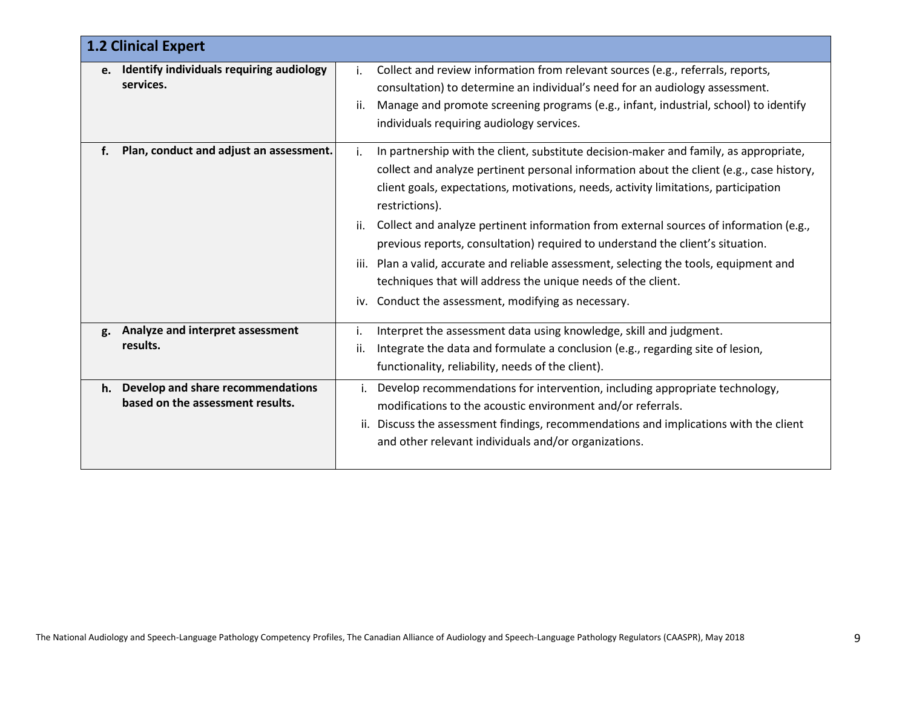|         | <b>1.2 Clinical Expert</b>                                            |                                                                                                                                                                                                                                                                                                                                                                                                                                                                                                                                                                                                                                                                                                            |  |
|---------|-----------------------------------------------------------------------|------------------------------------------------------------------------------------------------------------------------------------------------------------------------------------------------------------------------------------------------------------------------------------------------------------------------------------------------------------------------------------------------------------------------------------------------------------------------------------------------------------------------------------------------------------------------------------------------------------------------------------------------------------------------------------------------------------|--|
| $e_{1}$ | Identify individuals requiring audiology<br>services.                 | Collect and review information from relevant sources (e.g., referrals, reports,<br>i.<br>consultation) to determine an individual's need for an audiology assessment.<br>Manage and promote screening programs (e.g., infant, industrial, school) to identify<br>ii.<br>individuals requiring audiology services.                                                                                                                                                                                                                                                                                                                                                                                          |  |
| f.      | Plan, conduct and adjust an assessment.                               | In partnership with the client, substitute decision-maker and family, as appropriate,<br>i.<br>collect and analyze pertinent personal information about the client (e.g., case history,<br>client goals, expectations, motivations, needs, activity limitations, participation<br>restrictions).<br>Collect and analyze pertinent information from external sources of information (e.g.,<br>ii.<br>previous reports, consultation) required to understand the client's situation.<br>Plan a valid, accurate and reliable assessment, selecting the tools, equipment and<br>iii.<br>techniques that will address the unique needs of the client.<br>Conduct the assessment, modifying as necessary.<br>iv. |  |
| g.      | Analyze and interpret assessment<br>results.                          | Interpret the assessment data using knowledge, skill and judgment.<br>i.<br>Integrate the data and formulate a conclusion (e.g., regarding site of lesion,<br>ii.<br>functionality, reliability, needs of the client).                                                                                                                                                                                                                                                                                                                                                                                                                                                                                     |  |
| h.      | Develop and share recommendations<br>based on the assessment results. | Develop recommendations for intervention, including appropriate technology,<br>i.<br>modifications to the acoustic environment and/or referrals.<br>Discuss the assessment findings, recommendations and implications with the client<br>ii.<br>and other relevant individuals and/or organizations.                                                                                                                                                                                                                                                                                                                                                                                                       |  |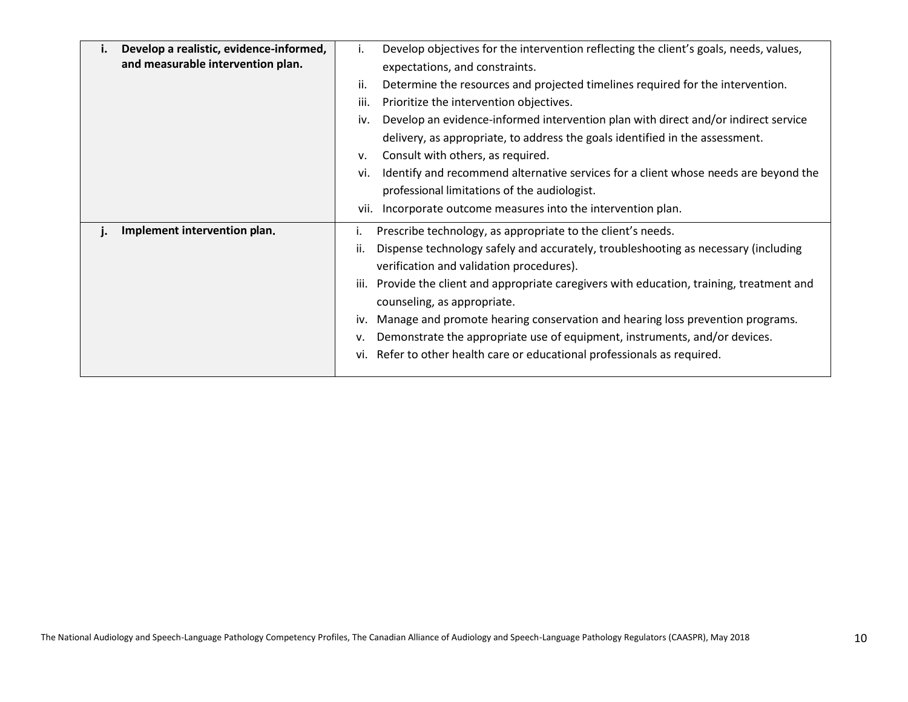| Develop a realistic, evidence-informed,<br>ι.<br>and measurable intervention plan. | Develop objectives for the intervention reflecting the client's goals, needs, values,<br>Τ.<br>expectations, and constraints.<br>Determine the resources and projected timelines required for the intervention.<br>ii.<br>iii.<br>Prioritize the intervention objectives.<br>Develop an evidence-informed intervention plan with direct and/or indirect service<br>iv.<br>delivery, as appropriate, to address the goals identified in the assessment.<br>Consult with others, as required.<br>v.<br>Identify and recommend alternative services for a client whose needs are beyond the<br>vi.<br>professional limitations of the audiologist.<br>Incorporate outcome measures into the intervention plan.<br>vii. |
|------------------------------------------------------------------------------------|---------------------------------------------------------------------------------------------------------------------------------------------------------------------------------------------------------------------------------------------------------------------------------------------------------------------------------------------------------------------------------------------------------------------------------------------------------------------------------------------------------------------------------------------------------------------------------------------------------------------------------------------------------------------------------------------------------------------|
| Implement intervention plan.                                                       | Prescribe technology, as appropriate to the client's needs.<br>Dispense technology safely and accurately, troubleshooting as necessary (including<br>ii.<br>verification and validation procedures).<br>Provide the client and appropriate caregivers with education, training, treatment and<br>iii.<br>counseling, as appropriate.<br>Manage and promote hearing conservation and hearing loss prevention programs.<br>İV.<br>Demonstrate the appropriate use of equipment, instruments, and/or devices.<br>٧.<br>Refer to other health care or educational professionals as required.<br>vi.                                                                                                                     |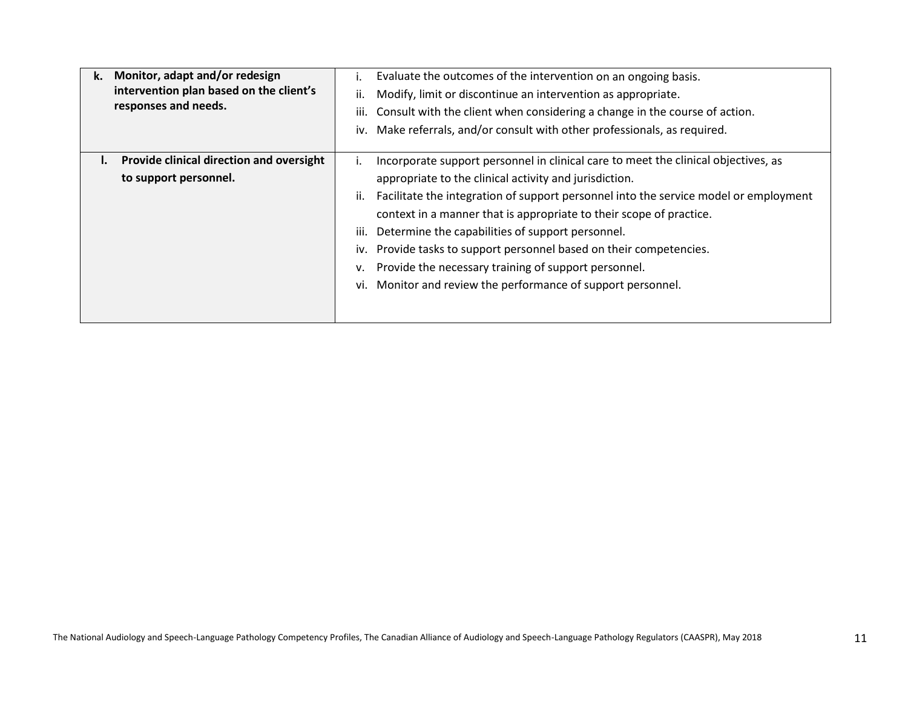| Monitor, adapt and/or redesign<br>k.<br>intervention plan based on the client's<br>responses and needs. | Evaluate the outcomes of the intervention on an ongoing basis.<br>Modify, limit or discontinue an intervention as appropriate.<br>II.<br>Consult with the client when considering a change in the course of action.<br>iii.<br>iv. Make referrals, and/or consult with other professionals, as required.                                                                                                                                                                                                                                                                      |
|---------------------------------------------------------------------------------------------------------|-------------------------------------------------------------------------------------------------------------------------------------------------------------------------------------------------------------------------------------------------------------------------------------------------------------------------------------------------------------------------------------------------------------------------------------------------------------------------------------------------------------------------------------------------------------------------------|
| Provide clinical direction and oversight<br>to support personnel.                                       | Incorporate support personnel in clinical care to meet the clinical objectives, as<br>appropriate to the clinical activity and jurisdiction.<br>Facilitate the integration of support personnel into the service model or employment<br>II.<br>context in a manner that is appropriate to their scope of practice.<br>Determine the capabilities of support personnel.<br>iii.<br>iv. Provide tasks to support personnel based on their competencies.<br>Provide the necessary training of support personnel.<br>vi. Monitor and review the performance of support personnel. |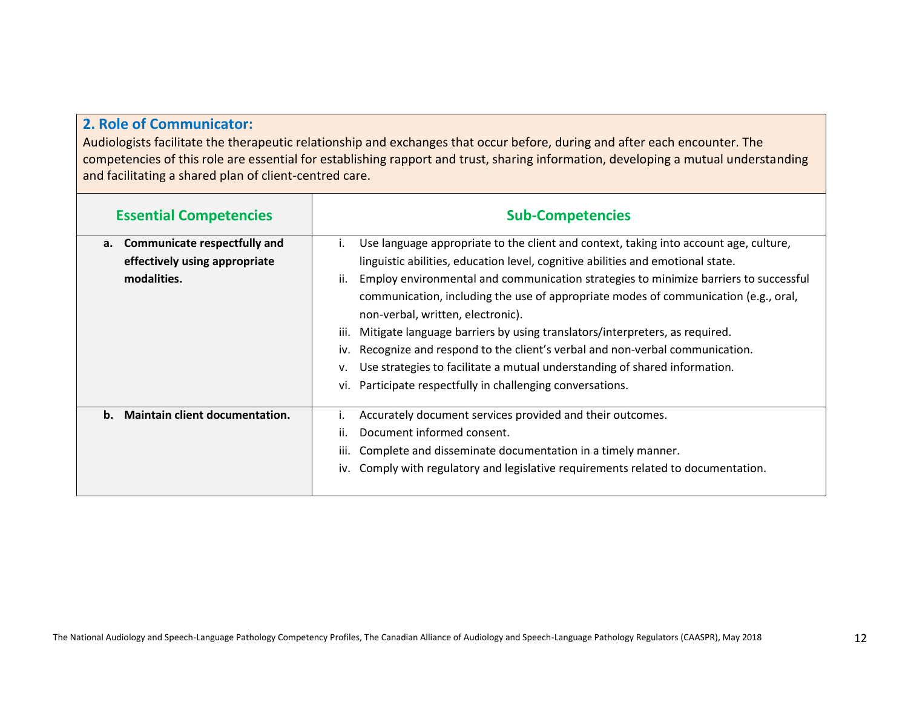# **2. Role of Communicator:**

Audiologists facilitate the therapeutic relationship and exchanges that occur before, during and after each encounter. The competencies of this role are essential for establishing rapport and trust, sharing information, developing a mutual understanding and facilitating a shared plan of client-centred care.

| <b>Essential Competencies</b>                                                             | <b>Sub-Competencies</b>                                                                                                                                                                                                                                                                                                                                                                                                                                                                                                                                                                                                                                                                                                                   |
|-------------------------------------------------------------------------------------------|-------------------------------------------------------------------------------------------------------------------------------------------------------------------------------------------------------------------------------------------------------------------------------------------------------------------------------------------------------------------------------------------------------------------------------------------------------------------------------------------------------------------------------------------------------------------------------------------------------------------------------------------------------------------------------------------------------------------------------------------|
| <b>Communicate respectfully and</b><br>а.<br>effectively using appropriate<br>modalities. | Use language appropriate to the client and context, taking into account age, culture,<br>Ι.<br>linguistic abilities, education level, cognitive abilities and emotional state.<br>Employ environmental and communication strategies to minimize barriers to successful<br>ii.<br>communication, including the use of appropriate modes of communication (e.g., oral,<br>non-verbal, written, electronic).<br>Mitigate language barriers by using translators/interpreters, as required.<br>iii.<br>Recognize and respond to the client's verbal and non-verbal communication.<br>iv.<br>Use strategies to facilitate a mutual understanding of shared information.<br>٧.<br>Participate respectfully in challenging conversations.<br>vi. |
| <b>Maintain client documentation.</b><br>$\mathbf{b}$ .                                   | Accurately document services provided and their outcomes.<br>ij.<br>Document informed consent.<br>Complete and disseminate documentation in a timely manner.<br>iii.<br>Comply with regulatory and legislative requirements related to documentation.<br>iv.                                                                                                                                                                                                                                                                                                                                                                                                                                                                              |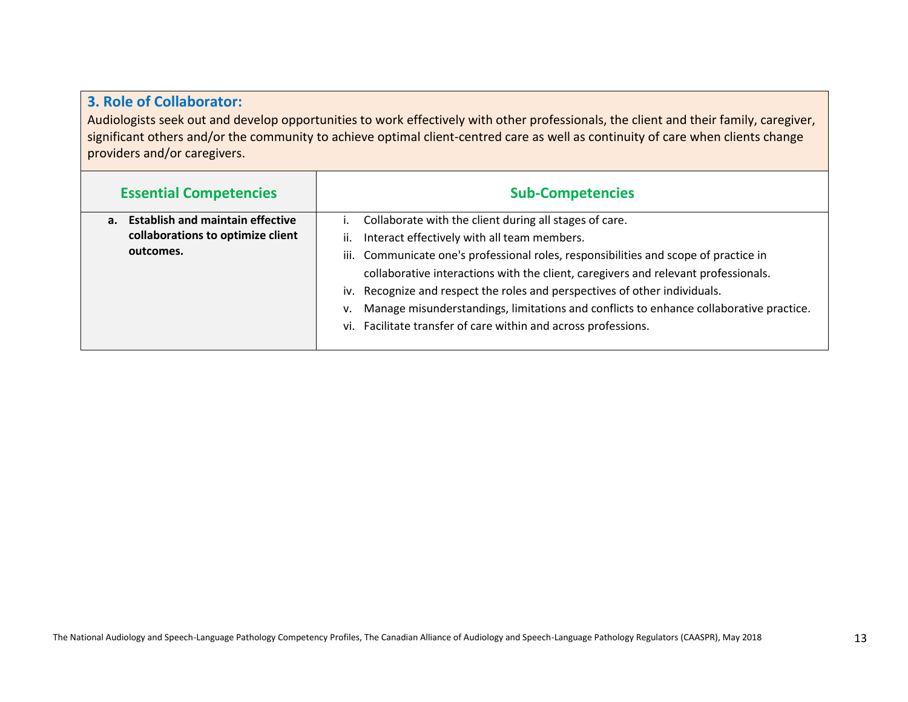### **3. Role of Collaborator:**

Audiologists seek out and develop opportunities to work effectively with other professionals, the client and their family, caregiver, significant others and/or the community to achieve optimal client-centred care as well as continuity of care when clients change providers and/or caregivers.

| <b>Essential Competencies</b>                 | <b>Sub-Competencies</b>                                                                      |
|-----------------------------------------------|----------------------------------------------------------------------------------------------|
| <b>Establish and maintain effective</b><br>a. | Collaborate with the client during all stages of care.                                       |
| collaborations to optimize client             | Interact effectively with all team members.<br>ii.                                           |
| outcomes.                                     | iii. Communicate one's professional roles, responsibilities and scope of practice in         |
|                                               | collaborative interactions with the client, caregivers and relevant professionals.           |
|                                               | iv. Recognize and respect the roles and perspectives of other individuals.                   |
|                                               | Manage misunderstandings, limitations and conflicts to enhance collaborative practice.<br>v. |
|                                               | vi. Facilitate transfer of care within and across professions.                               |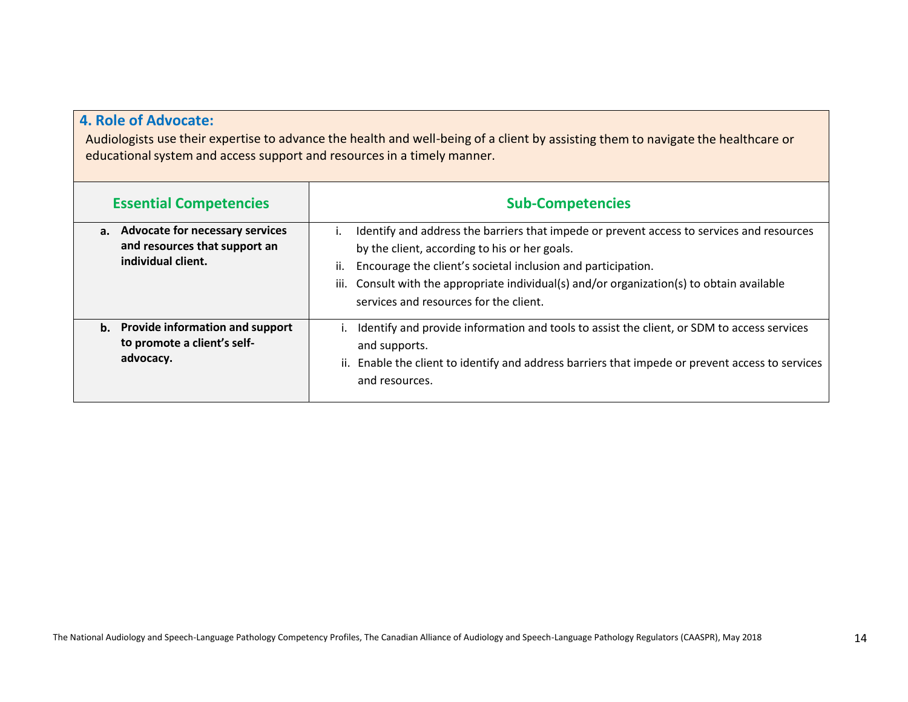## **4. Role of Advocate:**

Audiologists use their expertise to advance the health and well-being of a client by assisting them to navigate the healthcare or educational system and access support and resources in a timely manner.

| <b>Essential Competencies</b>                                                             | <b>Sub-Competencies</b>                                                                                                                                                                                                                                                                                                                                                      |
|-------------------------------------------------------------------------------------------|------------------------------------------------------------------------------------------------------------------------------------------------------------------------------------------------------------------------------------------------------------------------------------------------------------------------------------------------------------------------------|
| a. Advocate for necessary services<br>and resources that support an<br>individual client. | Identify and address the barriers that impede or prevent access to services and resources<br>$\mathbf{L}$<br>by the client, according to his or her goals.<br>Encourage the client's societal inclusion and participation.<br>ii.<br>Consult with the appropriate individual(s) and/or organization(s) to obtain available<br>iii.<br>services and resources for the client. |
| b. Provide information and support<br>to promote a client's self-<br>advocacy.            | Identify and provide information and tools to assist the client, or SDM to access services<br>and supports.<br>ii. Enable the client to identify and address barriers that impede or prevent access to services<br>and resources.                                                                                                                                            |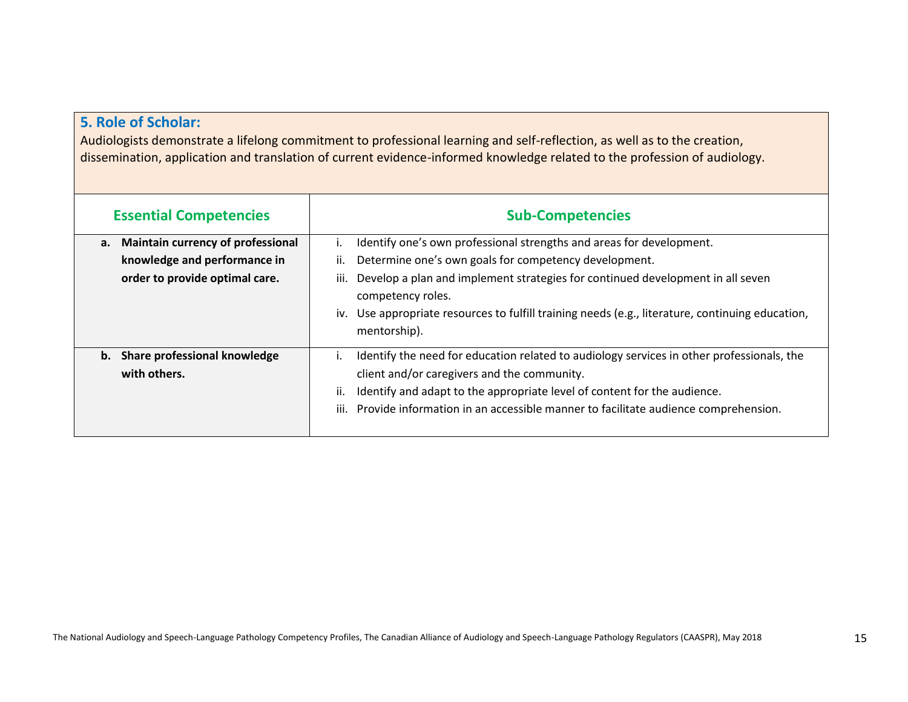### **5. Role of Scholar:**

Audiologists demonstrate a lifelong commitment to professional learning and self-reflection, as well as to the creation, dissemination, application and translation of current evidence-informed knowledge related to the profession of audiology.

| <b>Essential Competencies</b>                                                                             | <b>Sub-Competencies</b>                                                                                                                                                                                                                                                                                                                                             |
|-----------------------------------------------------------------------------------------------------------|---------------------------------------------------------------------------------------------------------------------------------------------------------------------------------------------------------------------------------------------------------------------------------------------------------------------------------------------------------------------|
| Maintain currency of professional<br>а.<br>knowledge and performance in<br>order to provide optimal care. | Identify one's own professional strengths and areas for development.<br>ii.<br>Determine one's own goals for competency development.<br>Develop a plan and implement strategies for continued development in all seven<br>iii.<br>competency roles.<br>Use appropriate resources to fulfill training needs (e.g., literature, continuing education,<br>mentorship). |
| Share professional knowledge<br>b.<br>with others.                                                        | Identify the need for education related to audiology services in other professionals, the<br>client and/or caregivers and the community.<br>Identify and adapt to the appropriate level of content for the audience.<br>ii.<br>iii. Provide information in an accessible manner to facilitate audience comprehension.                                               |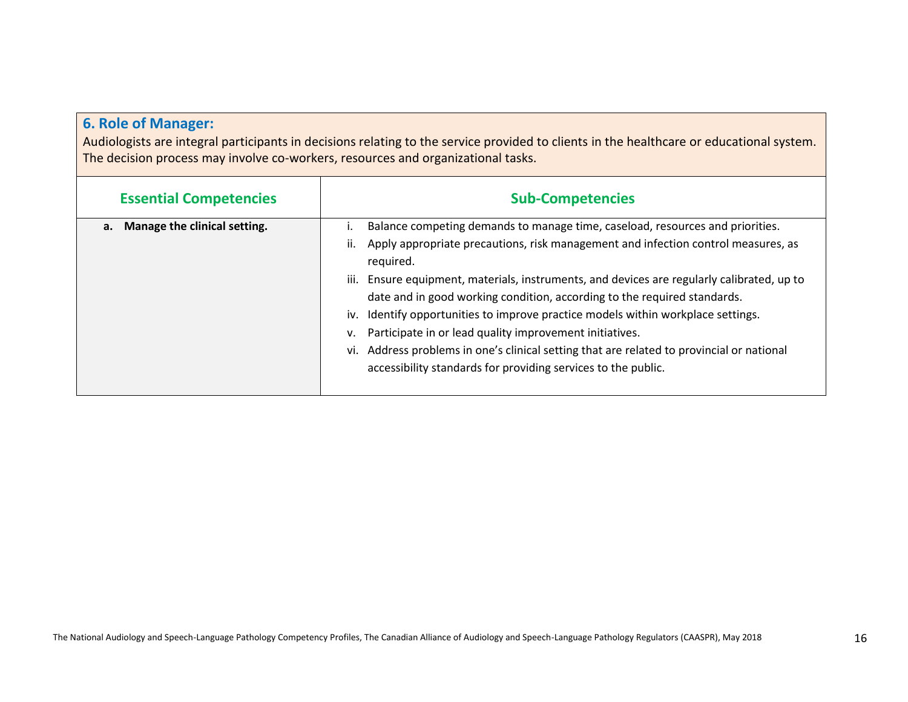# **6. Role of Manager:**

Audiologists are integral participants in decisions relating to the service provided to clients in the healthcare or educational system. The decision process may involve co-workers, resources and organizational tasks.

| <b>Essential Competencies</b>      | <b>Sub-Competencies</b>                                                                                                                                                                                                                                                                                                                                                                                                                                                                                                                                                                                                                                                          |
|------------------------------------|----------------------------------------------------------------------------------------------------------------------------------------------------------------------------------------------------------------------------------------------------------------------------------------------------------------------------------------------------------------------------------------------------------------------------------------------------------------------------------------------------------------------------------------------------------------------------------------------------------------------------------------------------------------------------------|
| Manage the clinical setting.<br>а. | Balance competing demands to manage time, caseload, resources and priorities.<br>Apply appropriate precautions, risk management and infection control measures, as<br>ii.<br>required.<br>iii. Ensure equipment, materials, instruments, and devices are regularly calibrated, up to<br>date and in good working condition, according to the required standards.<br>iv. Identify opportunities to improve practice models within workplace settings.<br>v. Participate in or lead quality improvement initiatives.<br>vi. Address problems in one's clinical setting that are related to provincial or national<br>accessibility standards for providing services to the public. |